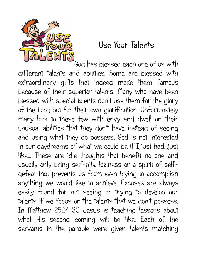

## **Use Your Talents**

God has blessed each one of us with different talents and abilities. Some are blessed with extraordinary gifts that indeed make them famous because of their superior talents. Many who have been blessed with special talents don't use them for the glory of the Lord but for their own glorification. Unfortunately many look to these few with envy and dwell on their unusual abilities that they don't have instead of seeing and using what they do possess. God is not interested in our daydreams of what we could be if I just had...just like... These are idle thoughts that benefit no one and usually only bring self-pity, laziness or a spirit of selfdefeat that prevents us from even trying to accomplish anything we would like to achieve. Excuses are always easily found for not seeing or trying to develop our talents if we focus on the talents that we don't possess. In Matthew 25:14-30 Jesus is teaching lessons about what His second coming will be like. Each of the servants in the parable were given talents matching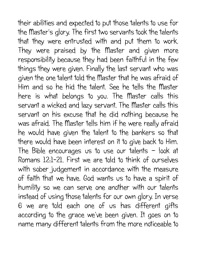their abilities and expected to put those talents to use for the Master's glory. The first two servants took the talents that they were entrusted with and put them to work. They were praised by the Master and given more responsibility because they had been faithful in the few things they were given. Finally the last servant who was given the one talent told the Master that he was afraid of Him and so he hid the talent. See he tells the Master here is what belongs to you. The Master calls this servant a wicked and lazy servant. The Master calls this servant on his excuse that he did nothing because he was afraid. The Master tells him if he were really afraid he would have given the talent to the bankers so that there would have been interest on it to give back to Him. The Bible encourages us to use our talents – look at Romans 12:1-21. First we are told to think of ourselves with sober judgement in accordance with the measure of faith that we have. God wants us to have a spirit of humility so we can serve one another with our talents instead of using those talents for our own glory. In verse 6 we are told each one of us has different gifts according to the grace we've been given. It goes on to name many different talents from the more noticeable to